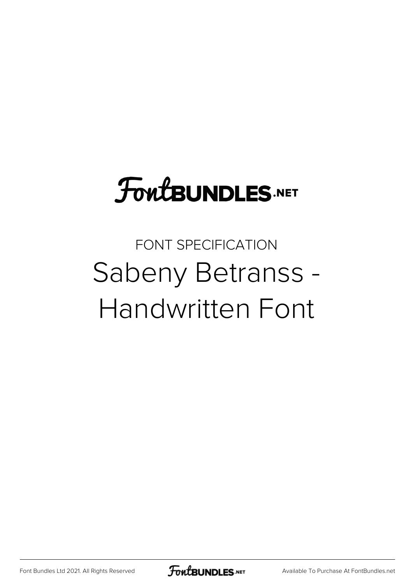## **FoutBUNDLES.NET**

## FONT SPECIFICATION Sabeny Betranss - Handwritten Font

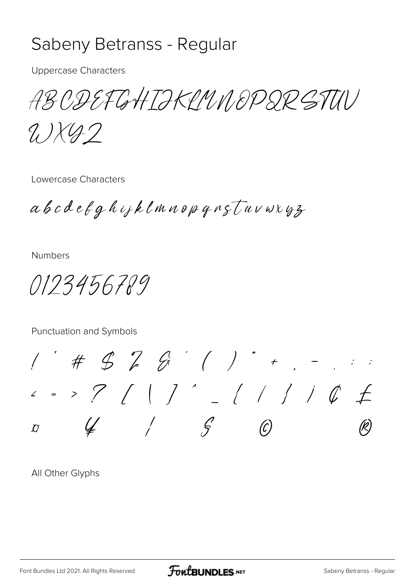## Sabeny Betranss - Regular

**Uppercase Characters** 

ABODEFGHTIKIMNOPDRSTUV

9.) X 42

Lowercase Characters

abcdefghijklmnopqnstuvwxyz

**Numbers** 

0123456789

Punctuation and Symbols

 $1'$  #  $9$   $2$   $6'$  ( ) \* + . -< = > ? / | ] ' \_ / / / i & £  $\mathcal{G}$  $\overline{D}$ 

All Other Glyphs

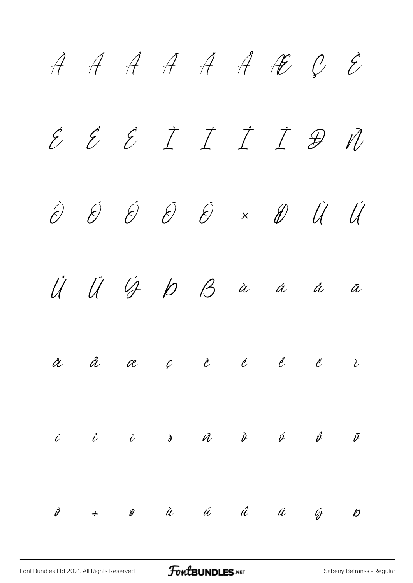